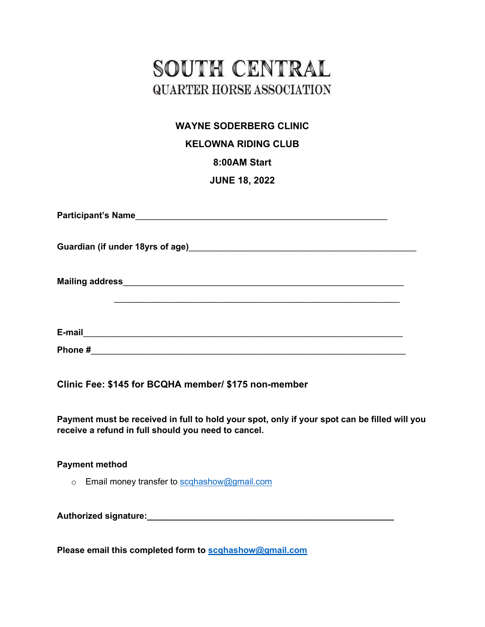# SOUTH CENTRAL **QUARTER HORSE ASSOCIATION**

### **WAYNE SODERBERG CLINIC**

#### **KELOWNA RIDING CLUB**

#### **8:00AM Start**

#### **JUNE 18, 2022**

| Guardian (if under 18yrs of age) Manual Communication of the Cuardian (if under 18yrs of age) |
|-----------------------------------------------------------------------------------------------|
|                                                                                               |
| E-mail                                                                                        |
| Phone#                                                                                        |

**Clinic Fee: \$145 for BCQHA member/ \$175 non-member**

**Payment must be received in full to hold your spot, only if your spot can be filled will you receive a refund in full should you need to cancel.** 

#### **Payment method**

o Email money transfer to [scqhashow@gmail.com](mailto:scqhashow@gmail.com)

**Authorized signature:\_\_\_\_\_\_\_\_\_\_\_\_\_\_\_\_\_\_\_\_\_\_\_\_\_\_\_\_\_\_\_\_\_\_\_\_\_\_\_\_\_\_\_\_\_\_\_\_\_\_\_**

**Please email this completed form to [scqhashow@gmail.com](mailto:lauren_lander@hotmail.com)**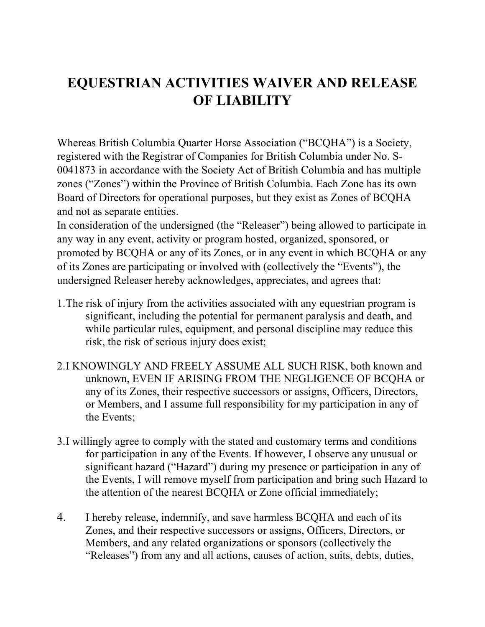## **EQUESTRIAN ACTIVITIES WAIVER AND RELEASE OF LIABILITY**

Whereas British Columbia Quarter Horse Association ("BCQHA") is a Society, registered with the Registrar of Companies for British Columbia under No. S-0041873 in accordance with the Society Act of British Columbia and has multiple zones ("Zones") within the Province of British Columbia. Each Zone has its own Board of Directors for operational purposes, but they exist as Zones of BCQHA and not as separate entities.

In consideration of the undersigned (the "Releaser") being allowed to participate in any way in any event, activity or program hosted, organized, sponsored, or promoted by BCQHA or any of its Zones, or in any event in which BCQHA or any of its Zones are participating or involved with (collectively the "Events"), the undersigned Releaser hereby acknowledges, appreciates, and agrees that:

- 1.The risk of injury from the activities associated with any equestrian program is significant, including the potential for permanent paralysis and death, and while particular rules, equipment, and personal discipline may reduce this risk, the risk of serious injury does exist;
- 2.I KNOWINGLY AND FREELY ASSUME ALL SUCH RISK, both known and unknown, EVEN IF ARISING FROM THE NEGLIGENCE OF BCQHA or any of its Zones, their respective successors or assigns, Officers, Directors, or Members, and I assume full responsibility for my participation in any of the Events;
- 3.I willingly agree to comply with the stated and customary terms and conditions for participation in any of the Events. If however, I observe any unusual or significant hazard ("Hazard") during my presence or participation in any of the Events, I will remove myself from participation and bring such Hazard to the attention of the nearest BCQHA or Zone official immediately;
- 4. I hereby release, indemnify, and save harmless BCQHA and each of its Zones, and their respective successors or assigns, Officers, Directors, or Members, and any related organizations or sponsors (collectively the "Releases") from any and all actions, causes of action, suits, debts, duties,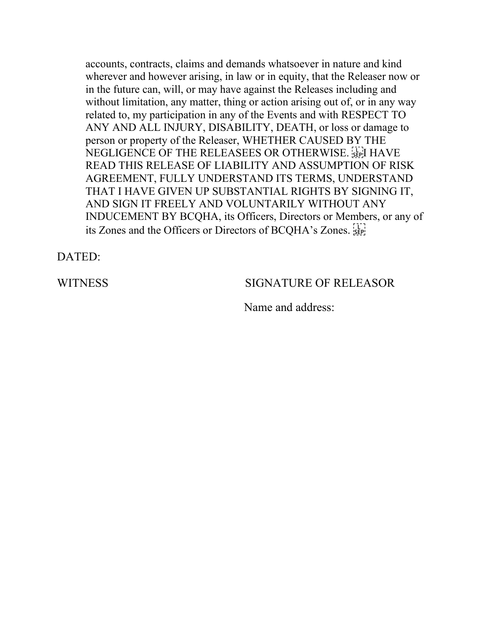accounts, contracts, claims and demands whatsoever in nature and kind wherever and however arising, in law or in equity, that the Releaser now or in the future can, will, or may have against the Releases including and without limitation, any matter, thing or action arising out of, or in any way related to, my participation in any of the Events and with RESPECT TO ANY AND ALL INJURY, DISABILITY, DEATH, or loss or damage to person or property of the Releaser, WHETHER CAUSED BY THE NEGLIGENCE OF THE RELEASEES OR OTHERWISE. **SEPT** HAVE READ THIS RELEASE OF LIABILITY AND ASSUMPTION OF RISK AGREEMENT, FULLY UNDERSTAND ITS TERMS, UNDERSTAND THAT I HAVE GIVEN UP SUBSTANTIAL RIGHTS BY SIGNING IT, AND SIGN IT FREELY AND VOLUNTARILY WITHOUT ANY INDUCEMENT BY BCQHA, its Officers, Directors or Members, or any of its Zones and the Officers or Directors of BCQHA's Zones.

DATED:

#### WITNESS SIGNATURE OF RELEASOR

Name and address: